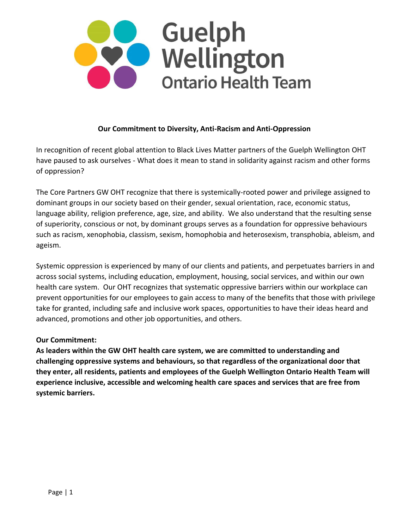

## **Our Commitment to Diversity, Anti-Racism and Anti-Oppression**

In recognition of recent global attention to Black Lives Matter partners of the Guelph Wellington OHT have paused to ask ourselves - What does it mean to stand in solidarity against racism and other forms of oppression?

The Core Partners GW OHT recognize that there is systemically-rooted power and privilege assigned to dominant groups in our society based on their gender, sexual orientation, race, economic status, language ability, religion preference, age, size, and ability. We also understand that the resulting sense of superiority, conscious or not, by dominant groups serves as a foundation for oppressive behaviours such as racism, xenophobia, classism, sexism, homophobia and heterosexism, transphobia, ableism, and ageism.

Systemic oppression is experienced by many of our clients and patients, and perpetuates barriers in and across social systems, including education, employment, housing, social services, and within our own health care system. Our OHT recognizes that systematic oppressive barriers within our workplace can prevent opportunities for our employees to gain access to many of the benefits that those with privilege take for granted, including safe and inclusive work spaces, opportunities to have their ideas heard and advanced, promotions and other job opportunities, and others.

## **Our Commitment:**

**As leaders within the GW OHT health care system, we are committed to understanding and challenging oppressive systems and behaviours, so that regardless of the organizational door that they enter, all residents, patients and employees of the Guelph Wellington Ontario Health Team will experience inclusive, accessible and welcoming health care spaces and services that are free from systemic barriers.**